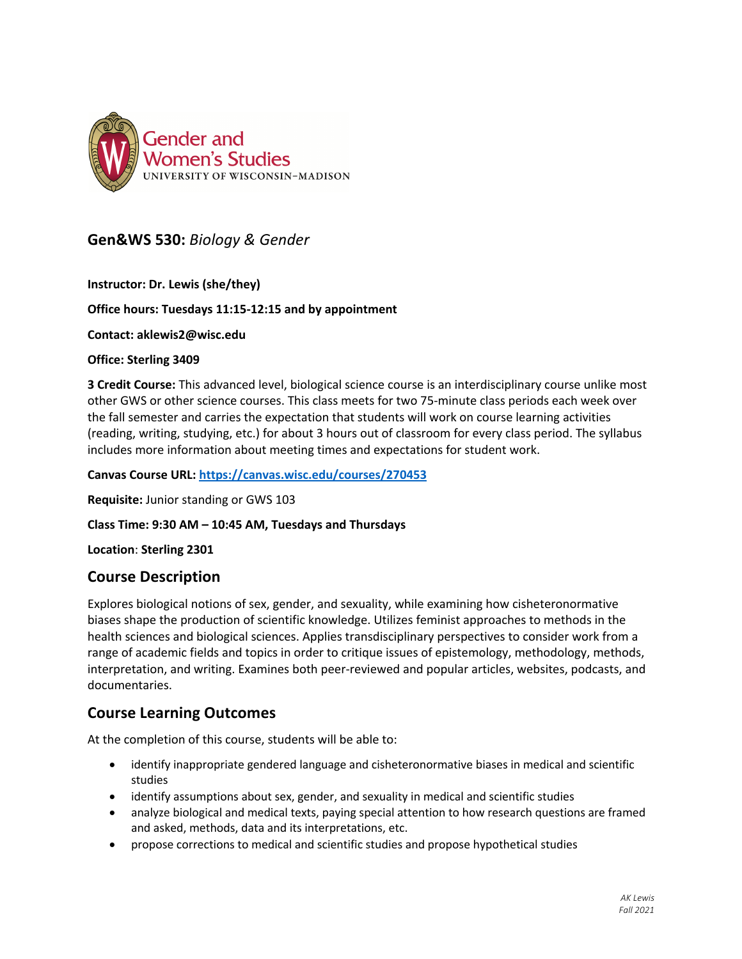

# **Gen&WS 530:** *Biology & Gender*

**Instructor: Dr. Lewis (she/they)**

### **Office hours: Tuesdays 11:15-12:15 and by appointment**

**Contact: aklewis2@wisc.edu**

#### **Office: Sterling 3409**

**3 Credit Course:** This advanced level, biological science course is an interdisciplinary course unlike most other GWS or other science courses. This class meets for two 75-minute class periods each week over the fall semester and carries the expectation that students will work on course learning activities (reading, writing, studying, etc.) for about 3 hours out of classroom for every class period. The syllabus includes more information about meeting times and expectations for student work.

**Canvas Course URL: https://canvas.wisc.edu/courses/270453**

**Requisite:** Junior standing or GWS 103

**Class Time: 9:30 AM – 10:45 AM, Tuesdays and Thursdays**

**Location**: **Sterling 2301**

## **Course Description**

Explores biological notions of sex, gender, and sexuality, while examining how cisheteronormative biases shape the production of scientific knowledge. Utilizes feminist approaches to methods in the health sciences and biological sciences. Applies transdisciplinary perspectives to consider work from a range of academic fields and topics in order to critique issues of epistemology, methodology, methods, interpretation, and writing. Examines both peer-reviewed and popular articles, websites, podcasts, and documentaries.

## **Course Learning Outcomes**

At the completion of this course, students will be able to:

- identify inappropriate gendered language and cisheteronormative biases in medical and scientific studies
- identify assumptions about sex, gender, and sexuality in medical and scientific studies
- analyze biological and medical texts, paying special attention to how research questions are framed and asked, methods, data and its interpretations, etc.
- propose corrections to medical and scientific studies and propose hypothetical studies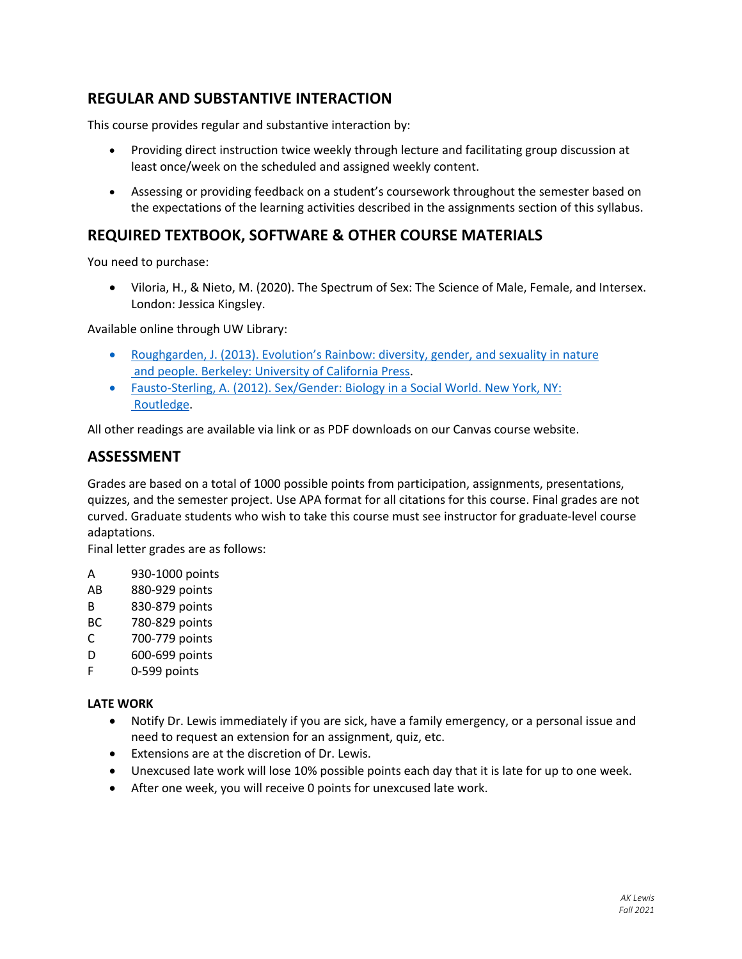# **REGULAR AND SUBSTANTIVE INTERACTION**

This course provides regular and substantive interaction by:

- Providing direct instruction twice weekly through lecture and facilitating group discussion at least once/week on the scheduled and assigned weekly content.
- Assessing or providing feedback on a student's coursework throughout the semester based on the expectations of the learning activities described in the assignments section of this syllabus.

## **REQUIRED TEXTBOOK, SOFTWARE & OTHER COURSE MATERIALS**

You need to purchase:

• Viloria, H., & Nieto, M. (2020). The Spectrum of Sex: The Science of Male, Female, and Intersex. London: Jessica Kingsley.

Available online through UW Library:

- Roughgarden, J. (2013). Evolution's Rainbow: diversity, gender, and sexuality in nature and people. Berkeley: University of California Press.
- Fausto-Sterling, A. (2012). Sex/Gender: Biology in a Social World. New York, NY: Routledge.

All other readings are available via link or as PDF downloads on our Canvas course website.

## **ASSESSMENT**

Grades are based on a total of 1000 possible points from participation, assignments, presentations, quizzes, and the semester project. Use APA format for all citations for this course. Final grades are not curved. Graduate students who wish to take this course must see instructor for graduate-level course adaptations.

Final letter grades are as follows:

- A 930-1000 points
- AB 880-929 points
- B 830-879 points
- BC 780-829 points
- C 700-779 points
- D 600-699 points
- F 0-599 points

#### **LATE WORK**

- Notify Dr. Lewis immediately if you are sick, have a family emergency, or a personal issue and need to request an extension for an assignment, quiz, etc.
- Extensions are at the discretion of Dr. Lewis.
- Unexcused late work will lose 10% possible points each day that it is late for up to one week.
- After one week, you will receive 0 points for unexcused late work.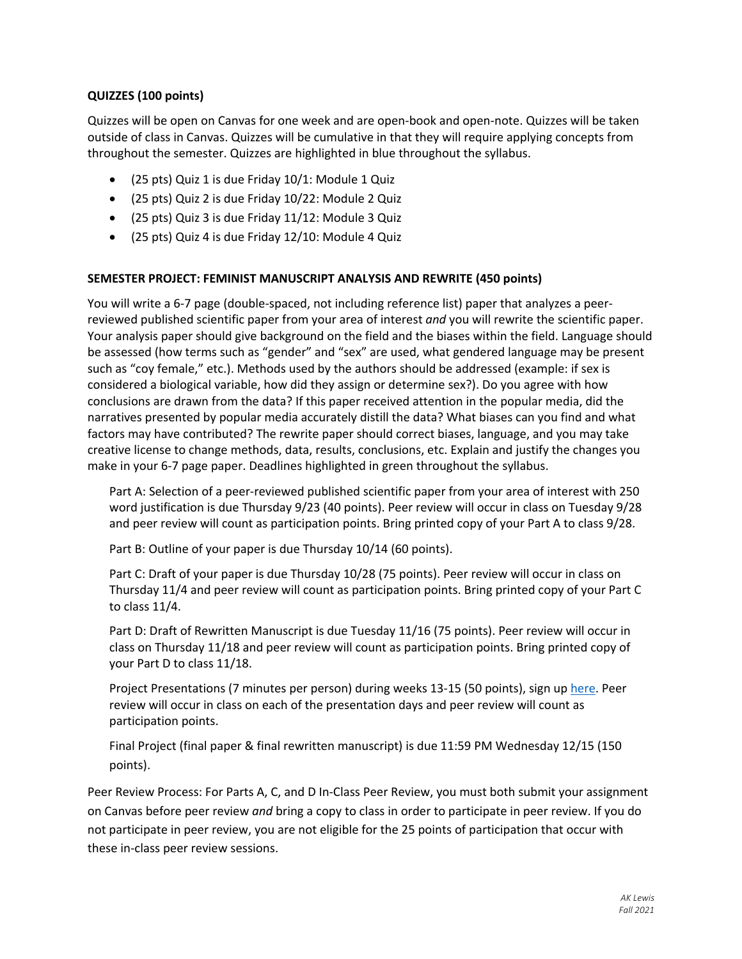### **QUIZZES (100 points)**

Quizzes will be open on Canvas for one week and are open-book and open-note. Quizzes will be taken outside of class in Canvas. Quizzes will be cumulative in that they will require applying concepts from throughout the semester. Quizzes are highlighted in blue throughout the syllabus.

- (25 pts) Quiz 1 is due Friday 10/1: Module 1 Quiz
- (25 pts) Quiz 2 is due Friday 10/22: Module 2 Quiz
- (25 pts) Quiz 3 is due Friday 11/12: Module 3 Quiz
- (25 pts) Quiz 4 is due Friday 12/10: Module 4 Quiz

#### **SEMESTER PROJECT: FEMINIST MANUSCRIPT ANALYSIS AND REWRITE (450 points)**

You will write a 6-7 page (double-spaced, not including reference list) paper that analyzes a peerreviewed published scientific paper from your area of interest *and* you will rewrite the scientific paper. Your analysis paper should give background on the field and the biases within the field. Language should be assessed (how terms such as "gender" and "sex" are used, what gendered language may be present such as "coy female," etc.). Methods used by the authors should be addressed (example: if sex is considered a biological variable, how did they assign or determine sex?). Do you agree with how conclusions are drawn from the data? If this paper received attention in the popular media, did the narratives presented by popular media accurately distill the data? What biases can you find and what factors may have contributed? The rewrite paper should correct biases, language, and you may take creative license to change methods, data, results, conclusions, etc. Explain and justify the changes you make in your 6-7 page paper. Deadlines highlighted in green throughout the syllabus.

Part A: Selection of a peer-reviewed published scientific paper from your area of interest with 250 word justification is due Thursday 9/23 (40 points). Peer review will occur in class on Tuesday 9/28 and peer review will count as participation points. Bring printed copy of your Part A to class 9/28.

Part B: Outline of your paper is due Thursday 10/14 (60 points).

Part C: Draft of your paper is due Thursday 10/28 (75 points). Peer review will occur in class on Thursday 11/4 and peer review will count as participation points. Bring printed copy of your Part C to class 11/4.

Part D: Draft of Rewritten Manuscript is due Tuesday 11/16 (75 points). Peer review will occur in class on Thursday 11/18 and peer review will count as participation points. Bring printed copy of your Part D to class 11/18.

Project Presentations (7 minutes per person) during weeks 13-15 (50 points), sign up here. Peer review will occur in class on each of the presentation days and peer review will count as participation points.

Final Project (final paper & final rewritten manuscript) is due 11:59 PM Wednesday 12/15 (150 points).

Peer Review Process: For Parts A, C, and D In-Class Peer Review, you must both submit your assignment on Canvas before peer review *and* bring a copy to class in order to participate in peer review. If you do not participate in peer review, you are not eligible for the 25 points of participation that occur with these in-class peer review sessions.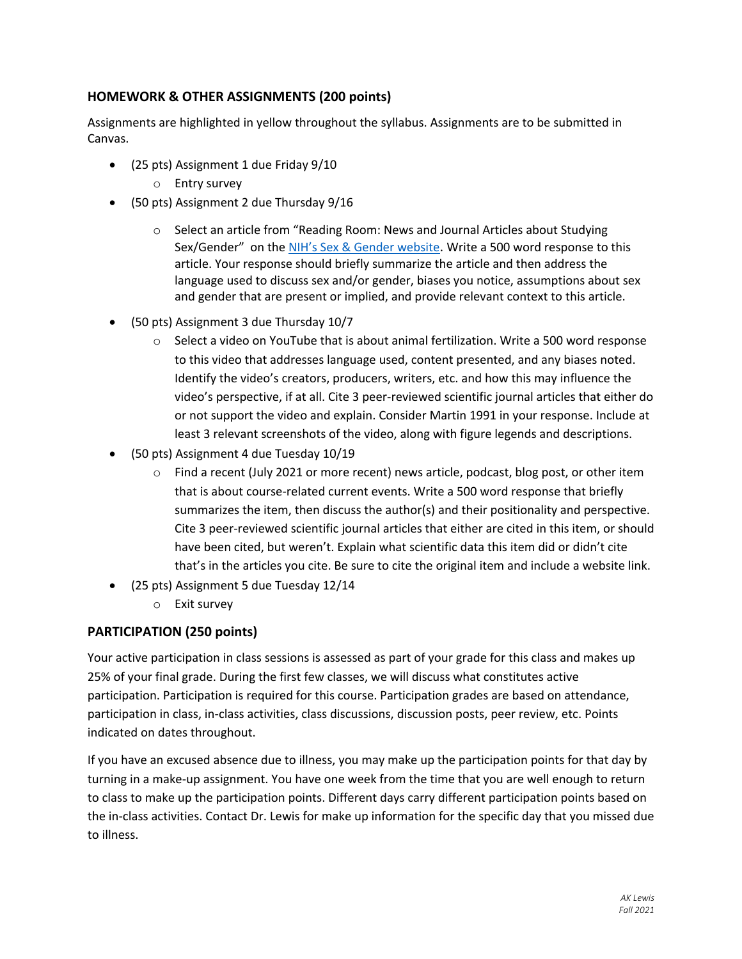## **HOMEWORK & OTHER ASSIGNMENTS (200 points)**

Assignments are highlighted in yellow throughout the syllabus. Assignments are to be submitted in Canvas.

- (25 pts) Assignment 1 due Friday 9/10
	- o Entry survey
- (50 pts) Assignment 2 due Thursday 9/16
	- o Select an article from "Reading Room: News and Journal Articles about Studying Sex/Gender" on the NIH's Sex & Gender website. Write a 500 word response to this article. Your response should briefly summarize the article and then address the language used to discuss sex and/or gender, biases you notice, assumptions about sex and gender that are present or implied, and provide relevant context to this article.
- (50 pts) Assignment 3 due Thursday 10/7
	- $\circ$  Select a video on YouTube that is about animal fertilization. Write a 500 word response to this video that addresses language used, content presented, and any biases noted. Identify the video's creators, producers, writers, etc. and how this may influence the video's perspective, if at all. Cite 3 peer-reviewed scientific journal articles that either do or not support the video and explain. Consider Martin 1991 in your response. Include at least 3 relevant screenshots of the video, along with figure legends and descriptions.
- (50 pts) Assignment 4 due Tuesday 10/19
	- o Find a recent (July 2021 or more recent) news article, podcast, blog post, or other item that is about course-related current events. Write a 500 word response that briefly summarizes the item, then discuss the author(s) and their positionality and perspective. Cite 3 peer-reviewed scientific journal articles that either are cited in this item, or should have been cited, but weren't. Explain what scientific data this item did or didn't cite that's in the articles you cite. Be sure to cite the original item and include a website link.
- (25 pts) Assignment 5 due Tuesday 12/14
	- o Exit survey

## **PARTICIPATION (250 points)**

Your active participation in class sessions is assessed as part of your grade for this class and makes up 25% of your final grade. During the first few classes, we will discuss what constitutes active participation. Participation is required for this course. Participation grades are based on attendance, participation in class, in-class activities, class discussions, discussion posts, peer review, etc. Points indicated on dates throughout.

If you have an excused absence due to illness, you may make up the participation points for that day by turning in a make-up assignment. You have one week from the time that you are well enough to return to class to make up the participation points. Different days carry different participation points based on the in-class activities. Contact Dr. Lewis for make up information for the specific day that you missed due to illness.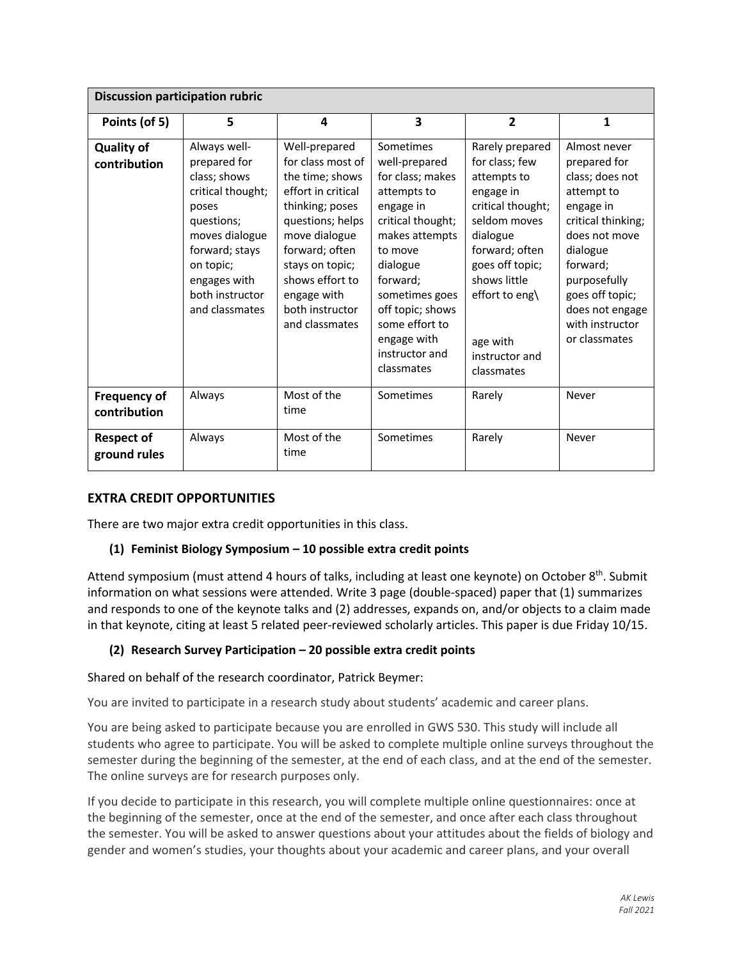| <b>Discussion participation rubric</b> |                                                                                                                                                                                                |                                                                                                                                                                                                                                                 |                                                                                                                                                                                                                                                             |                                                                                                                                                                                                                                   |                                                                                                                                                                                                                                     |
|----------------------------------------|------------------------------------------------------------------------------------------------------------------------------------------------------------------------------------------------|-------------------------------------------------------------------------------------------------------------------------------------------------------------------------------------------------------------------------------------------------|-------------------------------------------------------------------------------------------------------------------------------------------------------------------------------------------------------------------------------------------------------------|-----------------------------------------------------------------------------------------------------------------------------------------------------------------------------------------------------------------------------------|-------------------------------------------------------------------------------------------------------------------------------------------------------------------------------------------------------------------------------------|
| Points (of 5)                          | 5                                                                                                                                                                                              | 4                                                                                                                                                                                                                                               | $\overline{\mathbf{3}}$                                                                                                                                                                                                                                     | $\overline{2}$                                                                                                                                                                                                                    | $\mathbf{1}$                                                                                                                                                                                                                        |
| <b>Quality of</b><br>contribution      | Always well-<br>prepared for<br>class; shows<br>critical thought;<br>poses<br>questions;<br>moves dialogue<br>forward; stays<br>on topic;<br>engages with<br>both instructor<br>and classmates | Well-prepared<br>for class most of<br>the time; shows<br>effort in critical<br>thinking; poses<br>questions; helps<br>move dialogue<br>forward; often<br>stays on topic;<br>shows effort to<br>engage with<br>both instructor<br>and classmates | Sometimes<br>well-prepared<br>for class; makes<br>attempts to<br>engage in<br>critical thought;<br>makes attempts<br>to move<br>dialogue<br>forward;<br>sometimes goes<br>off topic; shows<br>some effort to<br>engage with<br>instructor and<br>classmates | Rarely prepared<br>for class; few<br>attempts to<br>engage in<br>critical thought;<br>seldom moves<br>dialogue<br>forward; often<br>goes off topic;<br>shows little<br>effort to eng\<br>age with<br>instructor and<br>classmates | Almost never<br>prepared for<br>class; does not<br>attempt to<br>engage in<br>critical thinking;<br>does not move<br>dialogue<br>forward;<br>purposefully<br>goes off topic;<br>does not engage<br>with instructor<br>or classmates |
| <b>Frequency of</b><br>contribution    | Always                                                                                                                                                                                         | Most of the<br>time                                                                                                                                                                                                                             | Sometimes                                                                                                                                                                                                                                                   | Rarely                                                                                                                                                                                                                            | Never                                                                                                                                                                                                                               |
| <b>Respect of</b><br>ground rules      | Always                                                                                                                                                                                         | Most of the<br>time                                                                                                                                                                                                                             | Sometimes                                                                                                                                                                                                                                                   | Rarely                                                                                                                                                                                                                            | Never                                                                                                                                                                                                                               |

## **EXTRA CREDIT OPPORTUNITIES**

There are two major extra credit opportunities in this class.

## **(1) Feminist Biology Symposium – 10 possible extra credit points**

Attend symposium (must attend 4 hours of talks, including at least one keynote) on October  $8<sup>th</sup>$ . Submit information on what sessions were attended. Write 3 page (double-spaced) paper that (1) summarizes and responds to one of the keynote talks and (2) addresses, expands on, and/or objects to a claim made in that keynote, citing at least 5 related peer-reviewed scholarly articles. This paper is due Friday 10/15.

## **(2) Research Survey Participation – 20 possible extra credit points**

#### Shared on behalf of the research coordinator, Patrick Beymer:

You are invited to participate in a research study about students' academic and career plans.

You are being asked to participate because you are enrolled in GWS 530. This study will include all students who agree to participate. You will be asked to complete multiple online surveys throughout the semester during the beginning of the semester, at the end of each class, and at the end of the semester. The online surveys are for research purposes only.

If you decide to participate in this research, you will complete multiple online questionnaires: once at the beginning of the semester, once at the end of the semester, and once after each class throughout the semester. You will be asked to answer questions about your attitudes about the fields of biology and gender and women's studies, your thoughts about your academic and career plans, and your overall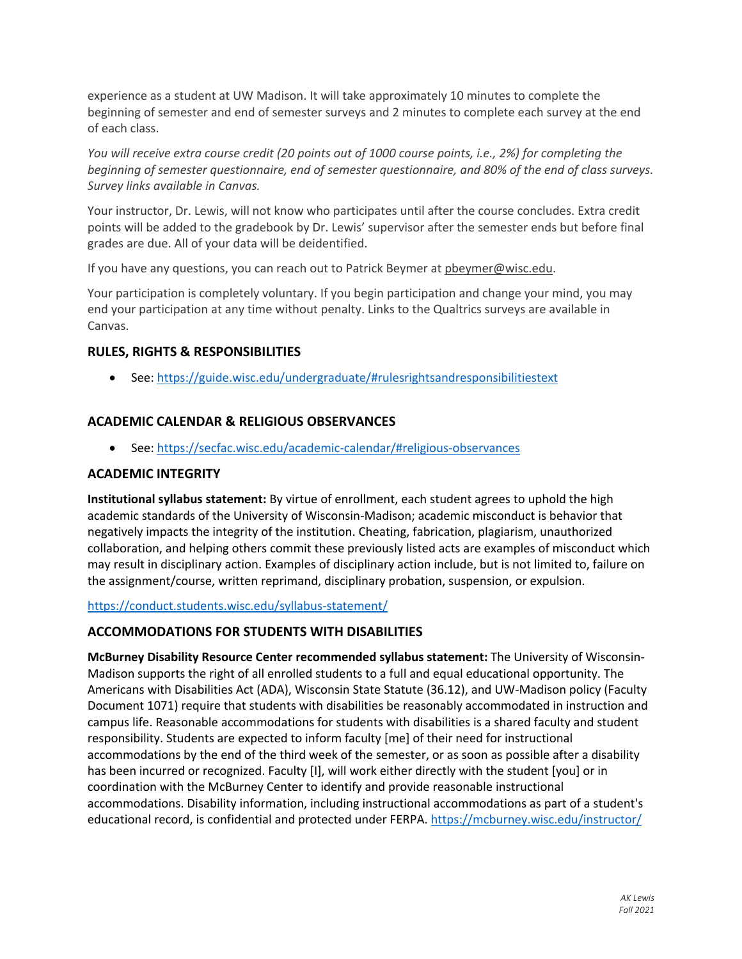experience as a student at UW Madison. It will take approximately 10 minutes to complete the beginning of semester and end of semester surveys and 2 minutes to complete each survey at the end of each class.

*You will receive extra course credit (20 points out of 1000 course points, i.e., 2%) for completing the beginning of semester questionnaire, end of semester questionnaire, and 80% of the end of class surveys. Survey links available in Canvas.*

Your instructor, Dr. Lewis, will not know who participates until after the course concludes. Extra credit points will be added to the gradebook by Dr. Lewis' supervisor after the semester ends but before final grades are due. All of your data will be deidentified.

If you have any questions, you can reach out to Patrick Beymer at pbeymer@wisc.edu.

Your participation is completely voluntary. If you begin participation and change your mind, you may end your participation at any time without penalty. Links to the Qualtrics surveys are available in Canvas.

## **RULES, RIGHTS & RESPONSIBILITIES**

• See: https://guide.wisc.edu/undergraduate/#rulesrightsandresponsibilitiestext

## **ACADEMIC CALENDAR & RELIGIOUS OBSERVANCES**

• See: https://secfac.wisc.edu/academic-calendar/#religious-observances

## **ACADEMIC INTEGRITY**

**Institutional syllabus statement:** By virtue of enrollment, each student agrees to uphold the high academic standards of the University of Wisconsin-Madison; academic misconduct is behavior that negatively impacts the integrity of the institution. Cheating, fabrication, plagiarism, unauthorized collaboration, and helping others commit these previously listed acts are examples of misconduct which may result in disciplinary action. Examples of disciplinary action include, but is not limited to, failure on the assignment/course, written reprimand, disciplinary probation, suspension, or expulsion.

#### https://conduct.students.wisc.edu/syllabus-statement/

## **ACCOMMODATIONS FOR STUDENTS WITH DISABILITIES**

**McBurney Disability Resource Center recommended syllabus statement:** The University of Wisconsin-Madison supports the right of all enrolled students to a full and equal educational opportunity. The Americans with Disabilities Act (ADA), Wisconsin State Statute (36.12), and UW-Madison policy (Faculty Document 1071) require that students with disabilities be reasonably accommodated in instruction and campus life. Reasonable accommodations for students with disabilities is a shared faculty and student responsibility. Students are expected to inform faculty [me] of their need for instructional accommodations by the end of the third week of the semester, or as soon as possible after a disability has been incurred or recognized. Faculty [I], will work either directly with the student [you] or in coordination with the McBurney Center to identify and provide reasonable instructional accommodations. Disability information, including instructional accommodations as part of a student's educational record, is confidential and protected under FERPA. https://mcburney.wisc.edu/instructor/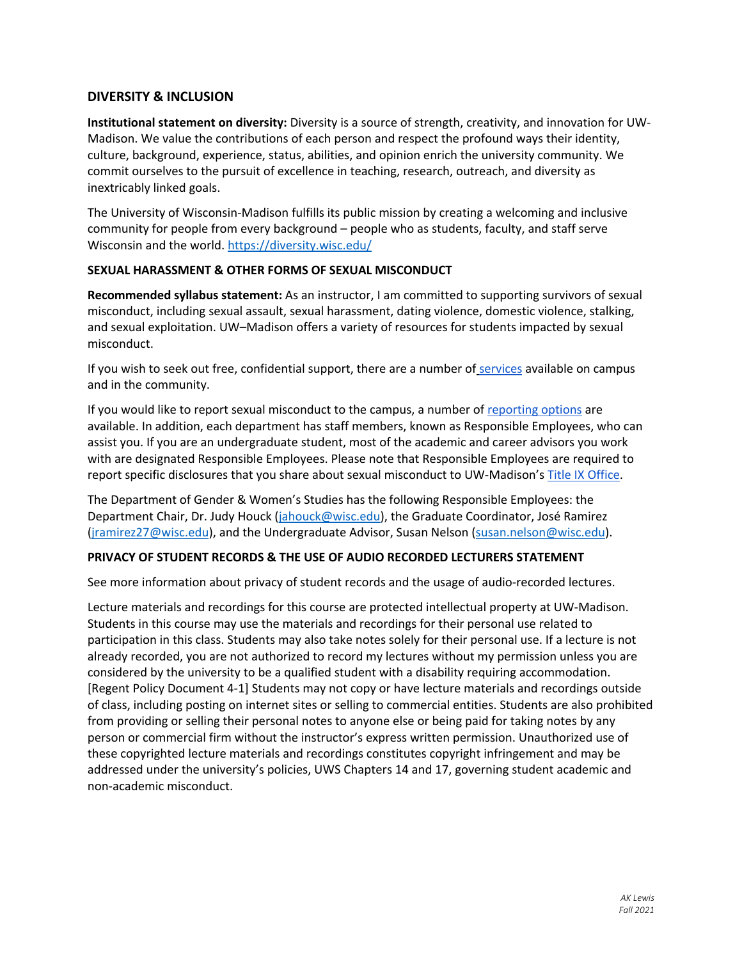### **DIVERSITY & INCLUSION**

**Institutional statement on diversity:** Diversity is a source of strength, creativity, and innovation for UW-Madison. We value the contributions of each person and respect the profound ways their identity, culture, background, experience, status, abilities, and opinion enrich the university community. We commit ourselves to the pursuit of excellence in teaching, research, outreach, and diversity as inextricably linked goals.

The University of Wisconsin-Madison fulfills its public mission by creating a welcoming and inclusive community for people from every background – people who as students, faculty, and staff serve Wisconsin and the world. https://diversity.wisc.edu/

### **SEXUAL HARASSMENT & OTHER FORMS OF SEXUAL MISCONDUCT**

**Recommended syllabus statement:** As an instructor, I am committed to supporting survivors of sexual misconduct, including sexual assault, sexual harassment, dating violence, domestic violence, stalking, and sexual exploitation. UW–Madison offers a variety of resources for students impacted by sexual misconduct.

If you wish to seek out free, confidential support, there are a number of services available on campus and in the community.

If you would like to report sexual misconduct to the campus, a number of reporting options are available. In addition, each department has staff members, known as Responsible Employees, who can assist you. If you are an undergraduate student, most of the academic and career advisors you work with are designated Responsible Employees. Please note that Responsible Employees are required to report specific disclosures that you share about sexual misconduct to UW-Madison's Title IX Office.

The Department of Gender & Women's Studies has the following Responsible Employees: the Department Chair, Dr. Judy Houck (jahouck@wisc.edu), the Graduate Coordinator, José Ramirez (jramirez27@wisc.edu), and the Undergraduate Advisor, Susan Nelson (susan.nelson@wisc.edu).

#### **PRIVACY OF STUDENT RECORDS & THE USE OF AUDIO RECORDED LECTURERS STATEMENT**

See more information about privacy of student records and the usage of audio-recorded lectures.

Lecture materials and recordings for this course are protected intellectual property at UW-Madison. Students in this course may use the materials and recordings for their personal use related to participation in this class. Students may also take notes solely for their personal use. If a lecture is not already recorded, you are not authorized to record my lectures without my permission unless you are considered by the university to be a qualified student with a disability requiring accommodation. [Regent Policy Document 4-1] Students may not copy or have lecture materials and recordings outside of class, including posting on internet sites or selling to commercial entities. Students are also prohibited from providing or selling their personal notes to anyone else or being paid for taking notes by any person or commercial firm without the instructor's express written permission. Unauthorized use of these copyrighted lecture materials and recordings constitutes copyright infringement and may be addressed under the university's policies, UWS Chapters 14 and 17, governing student academic and non-academic misconduct.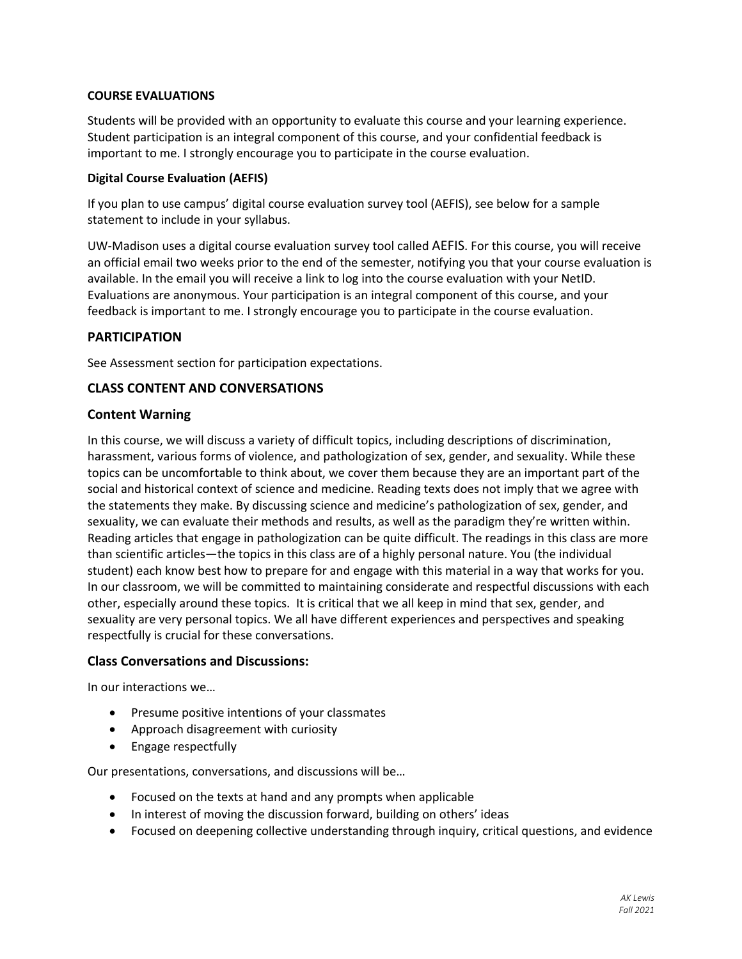#### **COURSE EVALUATIONS**

Students will be provided with an opportunity to evaluate this course and your learning experience. Student participation is an integral component of this course, and your confidential feedback is important to me. I strongly encourage you to participate in the course evaluation.

#### **Digital Course Evaluation (AEFIS)**

If you plan to use campus' digital course evaluation survey tool (AEFIS), see below for a sample statement to include in your syllabus.

UW-Madison uses a digital course evaluation survey tool called AEFIS. For this course, you will receive an official email two weeks prior to the end of the semester, notifying you that your course evaluation is available. In the email you will receive a link to log into the course evaluation with your NetID. Evaluations are anonymous. Your participation is an integral component of this course, and your feedback is important to me. I strongly encourage you to participate in the course evaluation.

### **PARTICIPATION**

See Assessment section for participation expectations.

### **CLASS CONTENT AND CONVERSATIONS**

### **Content Warning**

In this course, we will discuss a variety of difficult topics, including descriptions of discrimination, harassment, various forms of violence, and pathologization of sex, gender, and sexuality. While these topics can be uncomfortable to think about, we cover them because they are an important part of the social and historical context of science and medicine. Reading texts does not imply that we agree with the statements they make. By discussing science and medicine's pathologization of sex, gender, and sexuality, we can evaluate their methods and results, as well as the paradigm they're written within. Reading articles that engage in pathologization can be quite difficult. The readings in this class are more than scientific articles—the topics in this class are of a highly personal nature. You (the individual student) each know best how to prepare for and engage with this material in a way that works for you. In our classroom, we will be committed to maintaining considerate and respectful discussions with each other, especially around these topics. It is critical that we all keep in mind that sex, gender, and sexuality are very personal topics. We all have different experiences and perspectives and speaking respectfully is crucial for these conversations.

#### **Class Conversations and Discussions:**

In our interactions we…

- Presume positive intentions of your classmates
- Approach disagreement with curiosity
- Engage respectfully

Our presentations, conversations, and discussions will be…

- Focused on the texts at hand and any prompts when applicable
- In interest of moving the discussion forward, building on others' ideas
- Focused on deepening collective understanding through inquiry, critical questions, and evidence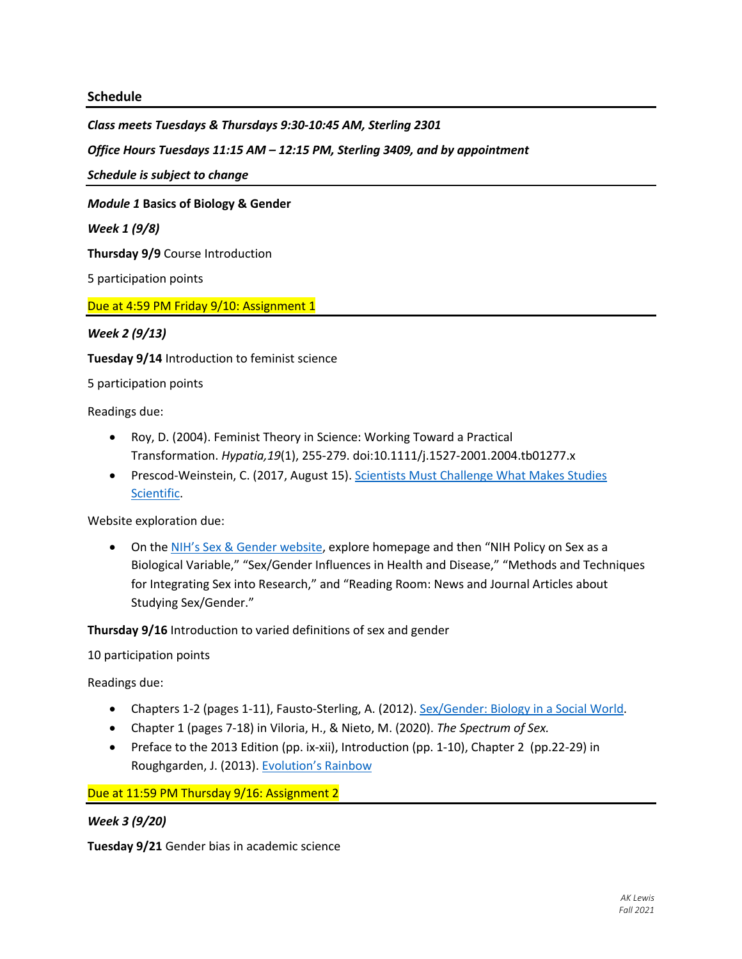#### **Schedule**

*Class meets Tuesdays & Thursdays 9:30-10:45 AM, Sterling 2301*

*Office Hours Tuesdays 11:15 AM – 12:15 PM, Sterling 3409, and by appointment*

*Schedule is subject to change* 

*Module 1* **Basics of Biology & Gender**

*Week 1 (9/8)* 

**Thursday 9/9** Course Introduction

5 participation points

Due at 4:59 PM Friday 9/10: Assignment 1

*Week 2 (9/13)* 

**Tuesday 9/14** Introduction to feminist science

5 participation points

Readings due:

- Roy, D. (2004). Feminist Theory in Science: Working Toward a Practical Transformation. *Hypatia,19*(1), 255-279. doi:10.1111/j.1527-2001.2004.tb01277.x
- Prescod-Weinstein, C. (2017, August 15). Scientists Must Challenge What Makes Studies Scientific.

Website exploration due:

• On the NIH's Sex & Gender website, explore homepage and then "NIH Policy on Sex as a Biological Variable," "Sex/Gender Influences in Health and Disease," "Methods and Techniques for Integrating Sex into Research," and "Reading Room: News and Journal Articles about Studying Sex/Gender."

**Thursday 9/16** Introduction to varied definitions of sex and gender

10 participation points

Readings due:

- Chapters 1-2 (pages 1-11), Fausto-Sterling, A. (2012). Sex/Gender: Biology in a Social World.
- Chapter 1 (pages 7-18) in Viloria, H., & Nieto, M. (2020). *The Spectrum of Sex.*
- Preface to the 2013 Edition (pp. ix-xii), Introduction (pp. 1-10), Chapter 2 (pp.22-29) in Roughgarden, J. (2013). Evolution's Rainbow

Due at 11:59 PM Thursday 9/16: Assignment 2

*Week 3 (9/20)* 

**Tuesday 9/21** Gender bias in academic science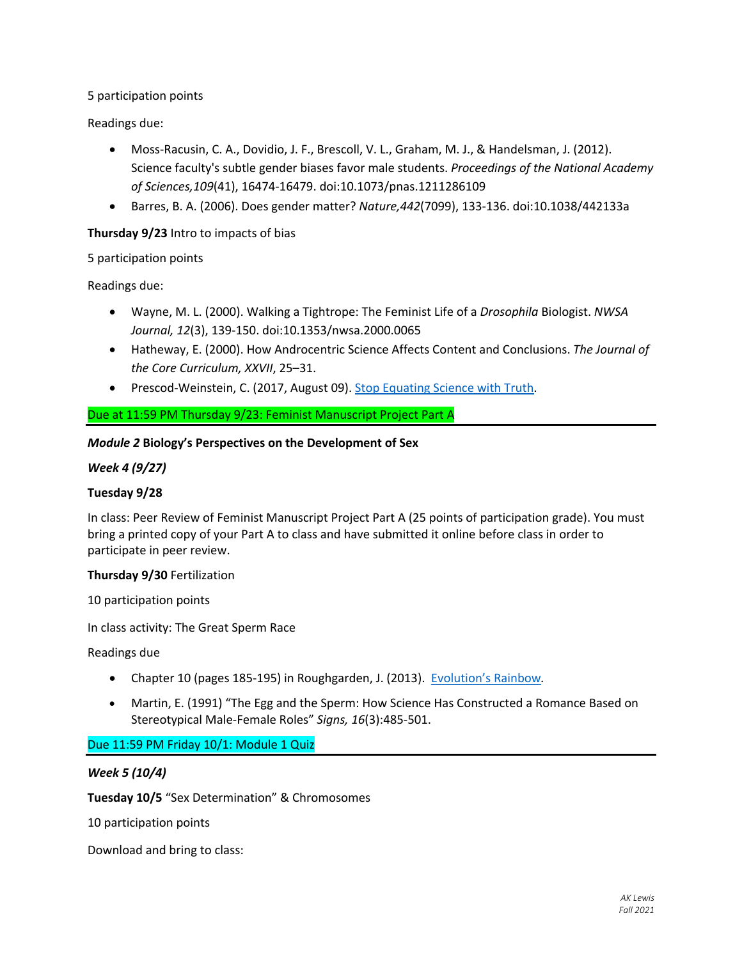5 participation points

Readings due:

- Moss-Racusin, C. A., Dovidio, J. F., Brescoll, V. L., Graham, M. J., & Handelsman, J. (2012). Science faculty's subtle gender biases favor male students. *Proceedings of the National Academy of Sciences,109*(41), 16474-16479. doi:10.1073/pnas.1211286109
- Barres, B. A. (2006). Does gender matter? *Nature,442*(7099), 133-136. doi:10.1038/442133a

### **Thursday 9/23** Intro to impacts of bias

5 participation points

Readings due:

- Wayne, M. L. (2000). Walking a Tightrope: The Feminist Life of a *Drosophila* Biologist. *NWSA Journal, 12*(3), 139-150. doi:10.1353/nwsa.2000.0065
- Hatheway, E. (2000). How Androcentric Science Affects Content and Conclusions. *The Journal of the Core Curriculum, XXVII*, 25–31.
- Prescod-Weinstein, C. (2017, August 09). Stop Equating Science with Truth.

### Due at 11:59 PM Thursday 9/23: Feminist Manuscript Project Part A

#### *Module 2* **Biology's Perspectives on the Development of Sex**

*Week 4 (9/27)*

#### **Tuesday 9/28**

In class: Peer Review of Feminist Manuscript Project Part A (25 points of participation grade). You must bring a printed copy of your Part A to class and have submitted it online before class in order to participate in peer review.

#### **Thursday 9/30** Fertilization

10 participation points

In class activity: The Great Sperm Race

Readings due

- Chapter 10 (pages 185-195) in Roughgarden, J. (2013). Evolution's Rainbow*.*
- Martin, E. (1991) "The Egg and the Sperm: How Science Has Constructed a Romance Based on Stereotypical Male-Female Roles" *Signs, 16*(3):485-501.

Due 11:59 PM Friday 10/1: Module 1 Quiz

#### *Week 5 (10/4)*

**Tuesday 10/5** "Sex Determination" & Chromosomes

10 participation points

Download and bring to class: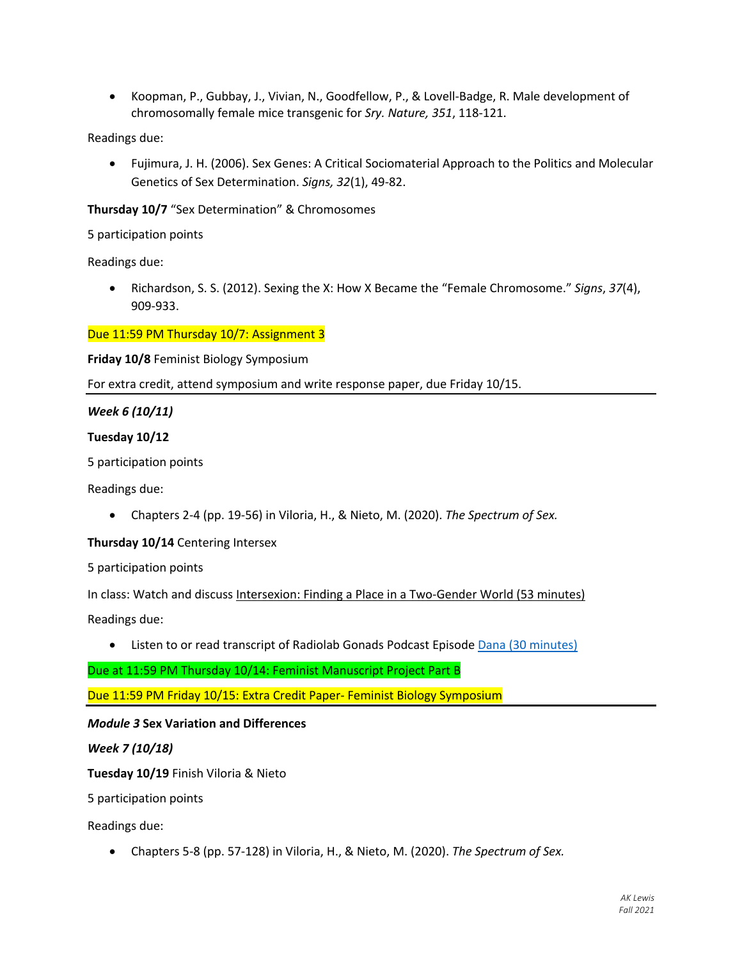• Koopman, P., Gubbay, J., Vivian, N., Goodfellow, P., & Lovell-Badge, R. Male development of chromosomally female mice transgenic for *Sry. Nature, 351*, 118-121.

Readings due:

• Fujimura, J. H. (2006). Sex Genes: A Critical Sociomaterial Approach to the Politics and Molecular Genetics of Sex Determination. *Signs, 32*(1), 49-82.

**Thursday 10/7** "Sex Determination" & Chromosomes

5 participation points

Readings due:

• Richardson, S. S. (2012). Sexing the X: How X Became the "Female Chromosome." *Signs*, *37*(4), 909-933.

Due 11:59 PM Thursday 10/7: Assignment 3

**Friday 10/8** Feminist Biology Symposium

For extra credit, attend symposium and write response paper, due Friday 10/15.

#### *Week 6 (10/11)*

#### **Tuesday 10/12**

5 participation points

Readings due:

• Chapters 2-4 (pp. 19-56) in Viloria, H., & Nieto, M. (2020). *The Spectrum of Sex.*

#### **Thursday 10/14** Centering Intersex

5 participation points

In class: Watch and discuss Intersexion: Finding a Place in a Two-Gender World (53 minutes) Readings due:

• Listen to or read transcript of Radiolab Gonads Podcast Episode Dana (30 minutes)

Due at 11:59 PM Thursday 10/14: Feminist Manuscript Project Part B

Due 11:59 PM Friday 10/15: Extra Credit Paper- Feminist Biology Symposium

#### *Module 3* **Sex Variation and Differences**

#### *Week 7 (10/18)*

**Tuesday 10/19** Finish Viloria & Nieto

5 participation points

Readings due:

• Chapters 5-8 (pp. 57-128) in Viloria, H., & Nieto, M. (2020). *The Spectrum of Sex.*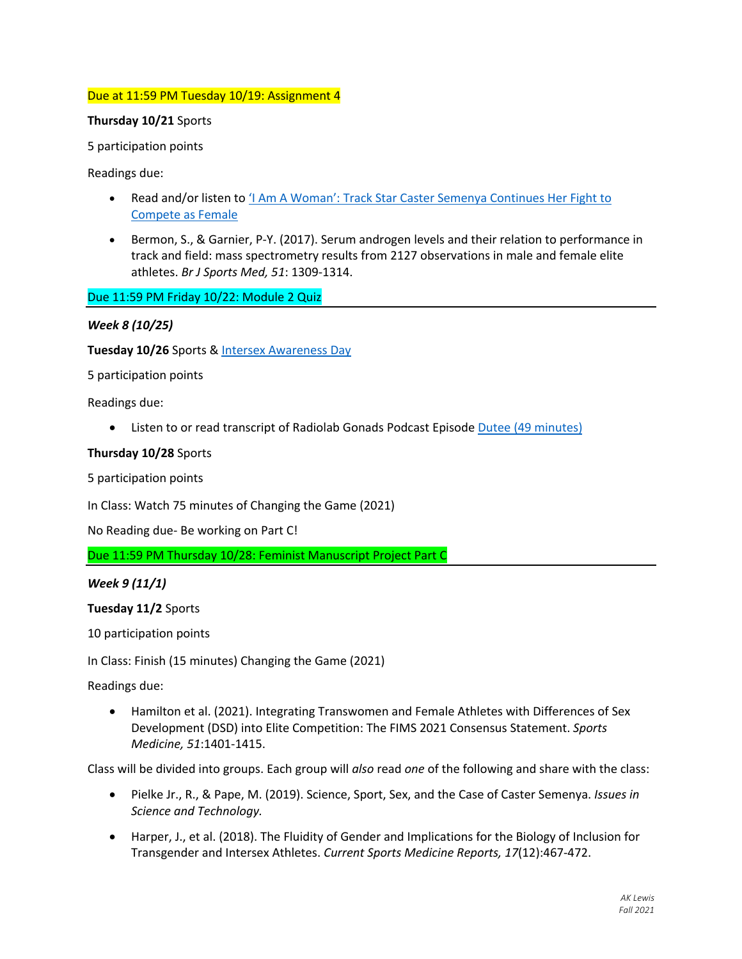### Due at 11:59 PM Tuesday 10/19: Assignment 4

#### **Thursday 10/21** Sports

5 participation points

Readings due:

- Read and/or listen to  $1$  Am A Woman': Track Star Caster Semenya Continues Her Fight to Compete as Female
- Bermon, S., & Garnier, P-Y. (2017). Serum androgen levels and their relation to performance in track and field: mass spectrometry results from 2127 observations in male and female elite athletes. *Br J Sports Med, 51*: 1309-1314.

Due 11:59 PM Friday 10/22: Module 2 Quiz

### *Week 8 (10/25)*

**Tuesday 10/26** Sports & Intersex Awareness Day

5 participation points

Readings due:

• Listen to or read transcript of Radiolab Gonads Podcast Episode Dutee (49 minutes)

#### **Thursday 10/28** Sports

5 participation points

In Class: Watch 75 minutes of Changing the Game (2021)

No Reading due- Be working on Part C!

Due 11:59 PM Thursday 10/28: Feminist Manuscript Project Part C

*Week 9 (11/1)*

**Tuesday 11/2** Sports

10 participation points

In Class: Finish (15 minutes) Changing the Game (2021)

Readings due:

• Hamilton et al. (2021). Integrating Transwomen and Female Athletes with Differences of Sex Development (DSD) into Elite Competition: The FIMS 2021 Consensus Statement. *Sports Medicine, 51*:1401-1415.

Class will be divided into groups. Each group will *also* read *one* of the following and share with the class:

- Pielke Jr., R., & Pape, M. (2019). Science, Sport, Sex, and the Case of Caster Semenya. *Issues in Science and Technology.*
- Harper, J., et al. (2018). The Fluidity of Gender and Implications for the Biology of Inclusion for Transgender and Intersex Athletes. *Current Sports Medicine Reports, 17*(12):467-472.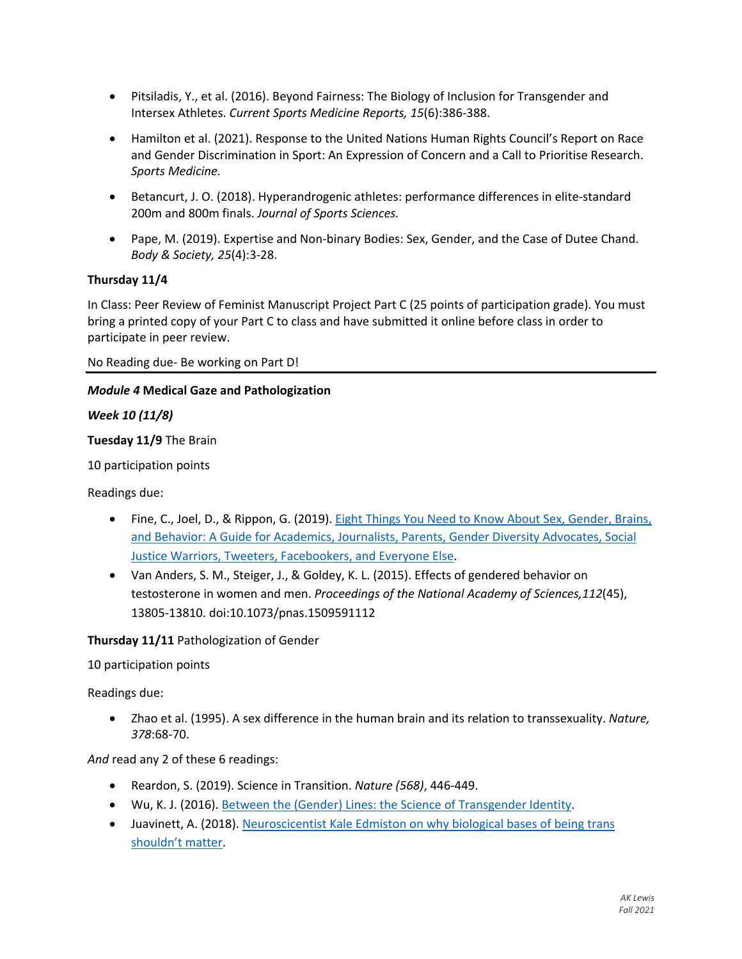- Pitsiladis, Y., et al. (2016). Beyond Fairness: The Biology of Inclusion for Transgender and Intersex Athletes. *Current Sports Medicine Reports, 15*(6):386-388.
- Hamilton et al. (2021). Response to the United Nations Human Rights Council's Report on Race and Gender Discrimination in Sport: An Expression of Concern and a Call to Prioritise Research. *Sports Medicine.*
- Betancurt, J. O. (2018). Hyperandrogenic athletes: performance differences in elite-standard 200m and 800m finals. *Journal of Sports Sciences.*
- Pape, M. (2019). Expertise and Non-binary Bodies: Sex, Gender, and the Case of Dutee Chand. *Body & Society, 25*(4):3-28.

## **Thursday 11/4**

In Class: Peer Review of Feminist Manuscript Project Part C (25 points of participation grade). You must bring a printed copy of your Part C to class and have submitted it online before class in order to participate in peer review.

No Reading due- Be working on Part D!

#### *Module 4* **Medical Gaze and Pathologization**

#### *Week 10 (11/8)*

#### **Tuesday 11/9** The Brain

10 participation points

Readings due:

- Fine, C., Joel, D., & Rippon, G. (2019). Eight Things You Need to Know About Sex, Gender, Brains, and Behavior: A Guide for Academics, Journalists, Parents, Gender Diversity Advocates, Social Justice Warriors, Tweeters, Facebookers, and Everyone Else.
- Van Anders, S. M., Steiger, J., & Goldey, K. L. (2015). Effects of gendered behavior on testosterone in women and men. *Proceedings of the National Academy of Sciences,112*(45), 13805-13810. doi:10.1073/pnas.1509591112

#### **Thursday 11/11** Pathologization of Gender

10 participation points

Readings due:

• Zhao et al. (1995). A sex difference in the human brain and its relation to transsexuality. *Nature, 378*:68-70.

*And* read any 2 of these 6 readings:

- Reardon, S. (2019). Science in Transition. *Nature (568)*, 446-449.
- Wu, K. J. (2016). Between the (Gender) Lines: the Science of Transgender Identity.
- Juavinett, A. (2018). Neuroscicentist Kale Edmiston on why biological bases of being trans shouldn't matter.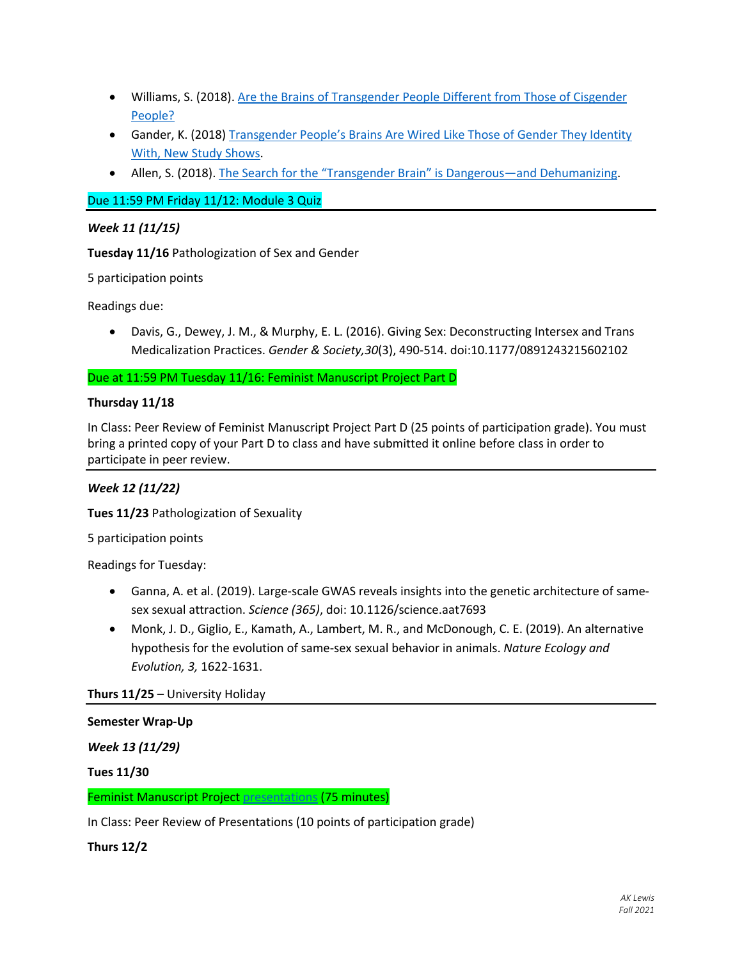- Williams, S. (2018). Are the Brains of Transgender People Different from Those of Cisgender People?
- Gander, K. (2018) Transgender People's Brains Are Wired Like Those of Gender They Identity With, New Study Shows.
- Allen, S. (2018). The Search for the "Transgender Brain" is Dangerous—and Dehumanizing.

Due 11:59 PM Friday 11/12: Module 3 Quiz

### *Week 11 (11/15)*

**Tuesday 11/16** Pathologization of Sex and Gender

5 participation points

Readings due:

• Davis, G., Dewey, J. M., & Murphy, E. L. (2016). Giving Sex: Deconstructing Intersex and Trans Medicalization Practices. *Gender & Society,30*(3), 490-514. doi:10.1177/0891243215602102

Due at 11:59 PM Tuesday 11/16: Feminist Manuscript Project Part D

### **Thursday 11/18**

In Class: Peer Review of Feminist Manuscript Project Part D (25 points of participation grade). You must bring a printed copy of your Part D to class and have submitted it online before class in order to participate in peer review.

## *Week 12 (11/22)*

**Tues 11/23** Pathologization of Sexuality

5 participation points

Readings for Tuesday:

- Ganna, A. et al. (2019). Large-scale GWAS reveals insights into the genetic architecture of samesex sexual attraction. *Science (365)*, doi: 10.1126/science.aat7693
- Monk, J. D., Giglio, E., Kamath, A., Lambert, M. R., and McDonough, C. E. (2019). An alternative hypothesis for the evolution of same-sex sexual behavior in animals. *Nature Ecology and Evolution, 3,* 1622-1631.

**Thurs 11/25** – University Holiday

#### **Semester Wrap-Up**

*Week 13 (11/29)*

**Tues 11/30**

Feminist Manuscript Project presentations (75 minutes)

In Class: Peer Review of Presentations (10 points of participation grade)

**Thurs 12/2**